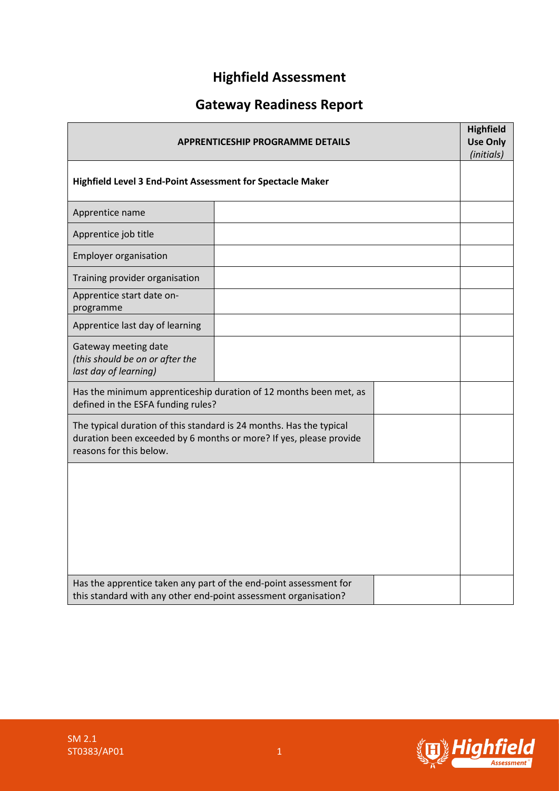# **Highfield Assessment**

# **Gateway Readiness Report**

| <b>APPRENTICESHIP PROGRAMME DETAILS</b><br>Highfield Level 3 End-Point Assessment for Spectacle Maker                                                                |                                                                   |  |  |
|----------------------------------------------------------------------------------------------------------------------------------------------------------------------|-------------------------------------------------------------------|--|--|
|                                                                                                                                                                      |                                                                   |  |  |
| Apprentice job title                                                                                                                                                 |                                                                   |  |  |
| <b>Employer organisation</b>                                                                                                                                         |                                                                   |  |  |
| Training provider organisation                                                                                                                                       |                                                                   |  |  |
| Apprentice start date on-<br>programme                                                                                                                               |                                                                   |  |  |
| Apprentice last day of learning                                                                                                                                      |                                                                   |  |  |
| Gateway meeting date<br>(this should be on or after the<br>last day of learning)                                                                                     |                                                                   |  |  |
| defined in the ESFA funding rules?                                                                                                                                   | Has the minimum apprenticeship duration of 12 months been met, as |  |  |
| The typical duration of this standard is 24 months. Has the typical<br>duration been exceeded by 6 months or more? If yes, please provide<br>reasons for this below. |                                                                   |  |  |
|                                                                                                                                                                      |                                                                   |  |  |
| Has the apprentice taken any part of the end-point assessment for<br>this standard with any other end-point assessment organisation?                                 |                                                                   |  |  |

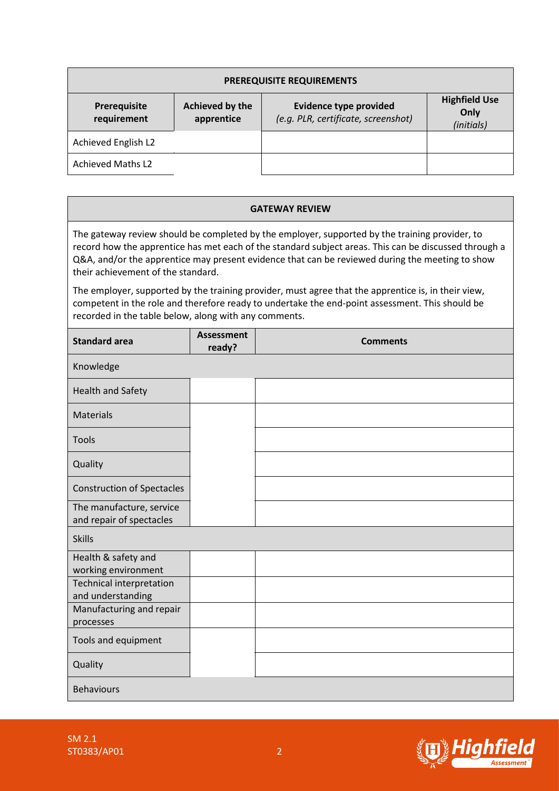| <b>PREREQUISITE REQUIREMENTS</b> |                               |                                                                      |                                            |  |  |
|----------------------------------|-------------------------------|----------------------------------------------------------------------|--------------------------------------------|--|--|
| Prerequisite<br>requirement      | Achieved by the<br>apprentice | <b>Evidence type provided</b><br>(e.g. PLR, certificate, screenshot) | <b>Highfield Use</b><br>Only<br>(initials) |  |  |
| Achieved English L2              |                               |                                                                      |                                            |  |  |
| <b>Achieved Maths L2</b>         |                               |                                                                      |                                            |  |  |

### **GATEWAY REVIEW**

The gateway review should be completed by the employer, supported by the training provider, to record how the apprentice has met each of the standard subject areas. This can be discussed through a Q&A, and/or the apprentice may present evidence that can be reviewed during the meeting to show their achievement of the standard.

The employer, supported by the training provider, must agree that the apprentice is, in their view, competent in the role and therefore ready to undertake the end-point assessment. This should be recorded in the table below, along with any comments.

| <b>Standard area</b>                                 | <b>Assessment</b><br>ready? | <b>Comments</b> |
|------------------------------------------------------|-----------------------------|-----------------|
| Knowledge                                            |                             |                 |
| Health and Safety                                    |                             |                 |
| Materials                                            |                             |                 |
| Tools                                                |                             |                 |
| Quality                                              |                             |                 |
| <b>Construction of Spectacles</b>                    |                             |                 |
| The manufacture, service<br>and repair of spectacles |                             |                 |
| <b>Skills</b>                                        |                             |                 |
| Health & safety and<br>working environment           |                             |                 |
| Technical interpretation<br>and understanding        |                             |                 |
| Manufacturing and repair<br>processes                |                             |                 |
| Tools and equipment                                  |                             |                 |
| Quality                                              |                             |                 |
| <b>Behaviours</b>                                    |                             |                 |

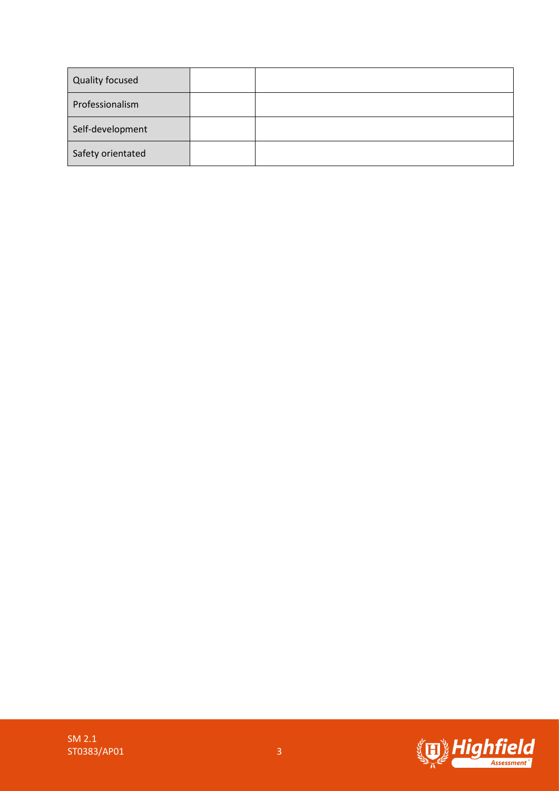| <b>Quality focused</b> |  |
|------------------------|--|
| Professionalism        |  |
| Self-development       |  |
| Safety orientated      |  |